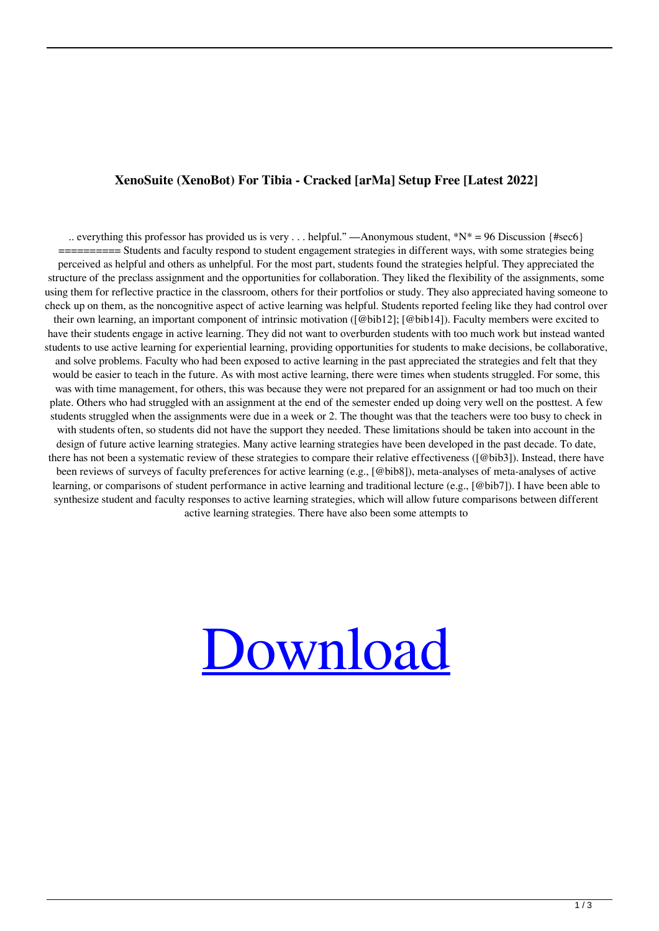## **XenoSuite (XenoBot) For Tibia - Cracked [arMa] Setup Free [Latest 2022]**

.. everything this professor has provided us is very ... helpful." —Anonymous student,  $*N^* = 96$  Discussion {#sec6} ========== Students and faculty respond to student engagement strategies in different ways, with some strategies being perceived as helpful and others as unhelpful. For the most part, students found the strategies helpful. They appreciated the structure of the preclass assignment and the opportunities for collaboration. They liked the flexibility of the assignments, some using them for reflective practice in the classroom, others for their portfolios or study. They also appreciated having someone to check up on them, as the noncognitive aspect of active learning was helpful. Students reported feeling like they had control over their own learning, an important component of intrinsic motivation ([@bib12]; [@bib14]). Faculty members were excited to have their students engage in active learning. They did not want to overburden students with too much work but instead wanted students to use active learning for experiential learning, providing opportunities for students to make decisions, be collaborative, and solve problems. Faculty who had been exposed to active learning in the past appreciated the strategies and felt that they would be easier to teach in the future. As with most active learning, there were times when students struggled. For some, this was with time management, for others, this was because they were not prepared for an assignment or had too much on their plate. Others who had struggled with an assignment at the end of the semester ended up doing very well on the posttest. A few students struggled when the assignments were due in a week or 2. The thought was that the teachers were too busy to check in with students often, so students did not have the support they needed. These limitations should be taken into account in the design of future active learning strategies. Many active learning strategies have been developed in the past decade. To date, there has not been a systematic review of these strategies to compare their relative effectiveness ([@bib3]). Instead, there have been reviews of surveys of faculty preferences for active learning (e.g., [@bib8]), meta-analyses of meta-analyses of active learning, or comparisons of student performance in active learning and traditional lecture (e.g., [@bib7]). I have been able to synthesize student and faculty responses to active learning strategies, which will allow future comparisons between different active learning strategies. There have also been some attempts to

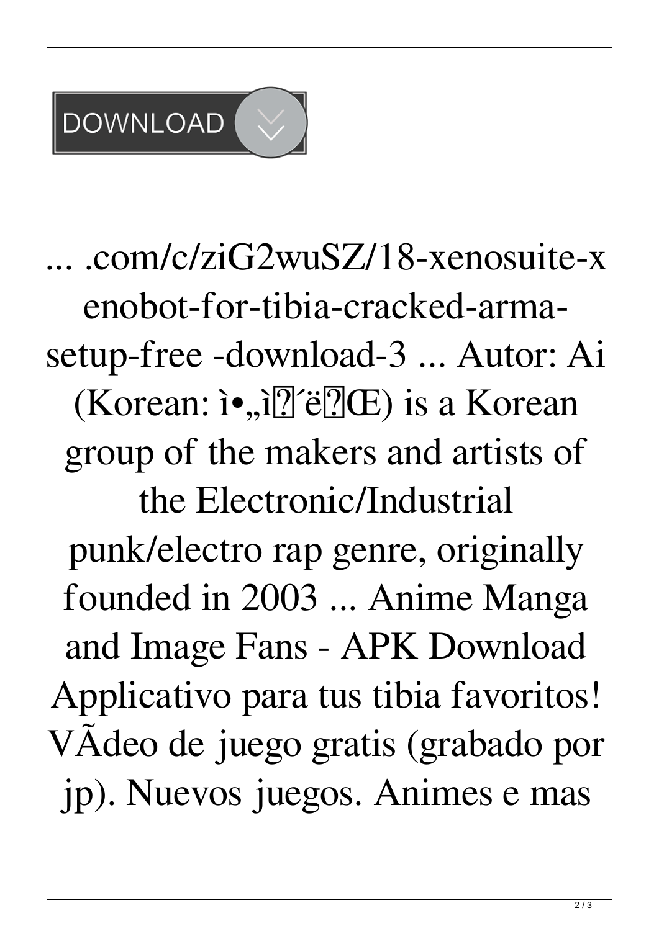## **DOWNLOAD**

... .com/c/ziG2wuSZ/18-xenosuite-x enobot-for-tibia-cracked-armasetup-free -download-3 ... Autor: Ai (Korean: i•,,i? $\mathbb{Z}$ 'ë? $(E)$  is a Korean group of the makers and artists of the Electronic/Industrial punk/electro rap genre, originally founded in 2003 ... Anime Manga and Image Fans - APK Download Applicativo para tus tibia favoritos! VAdeo de juego gratis (grabado por jp). Nuevos juegos. Animes e mas